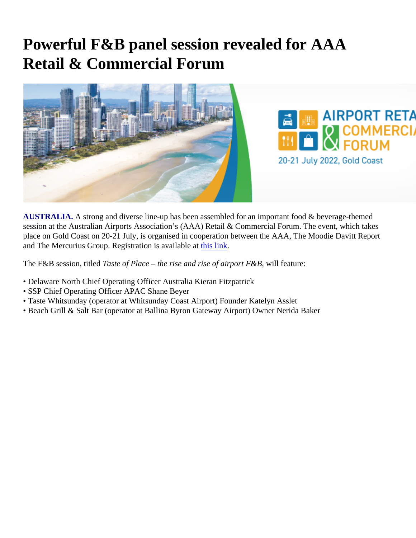## Powerful F&B panel session revealed for AAA Retail & Commercial Forum

AUSTRALIA. A strong and diverse line-up has been assembled for an important food & beverage-themed session at the Australian Airports Association's (AAA) Retail & Commercial Forum. The event, which takes place on Gold Coast on 20-21 July, is organised in cooperation between the AAA, The Moodie Davitt Report and The Mercurius Group. Registration is available at link.

The F&B session, titled Taste of Place – the rise and rise of airport F&B , will feature:

- Delaware North Chief Operating Officer Australia Kieran Fitzpatrick
- SSP Chief Operating Officer APAC Shane Beyer
- Taste Whitsunday (operator at Whitsunday Coast Airport) Founder Katelyn Asslet
- Beach Grill & Salt Bar (operator at Ballina Byron Gateway Airport) Owner Nerida Baker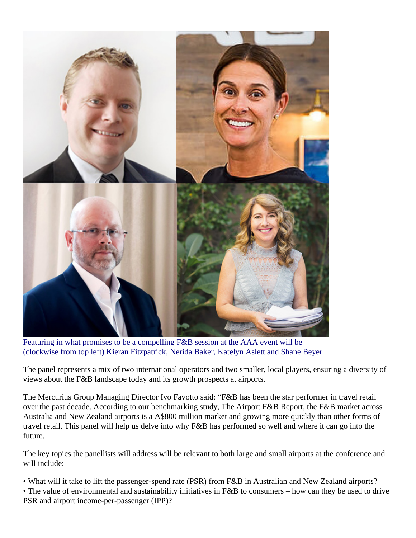

Featuring in what promises to be a compelling F&B session at the AAA event will be (clockwise from top left) Kieran Fitzpatrick, Nerida Baker, Katelyn Aslett and Shane Beyer

The panel represents a mix of two international operators and two smaller, local players, ensuring a diversity of views about the F&B landscape today and its growth prospects at airports.

The Mercurius Group Managing Director Ivo Favotto said: "F&B has been the star performer in travel retail over the past decade. According to our benchmarking study, The Airport F&B Report, the F&B market across Australia and New Zealand airports is a A\$800 million market and growing more quickly than other forms of travel retail. This panel will help us delve into why F&B has performed so well and where it can go into the future.

The key topics the panellists will address will be relevant to both large and small airports at the conference and will include:

- What will it take to lift the passenger-spend rate (PSR) from F&B in Australian and New Zealand airports?
- The value of environmental and sustainability initiatives in F&B to consumers how can they be used to drive PSR and airport income-per-passenger (IPP)?